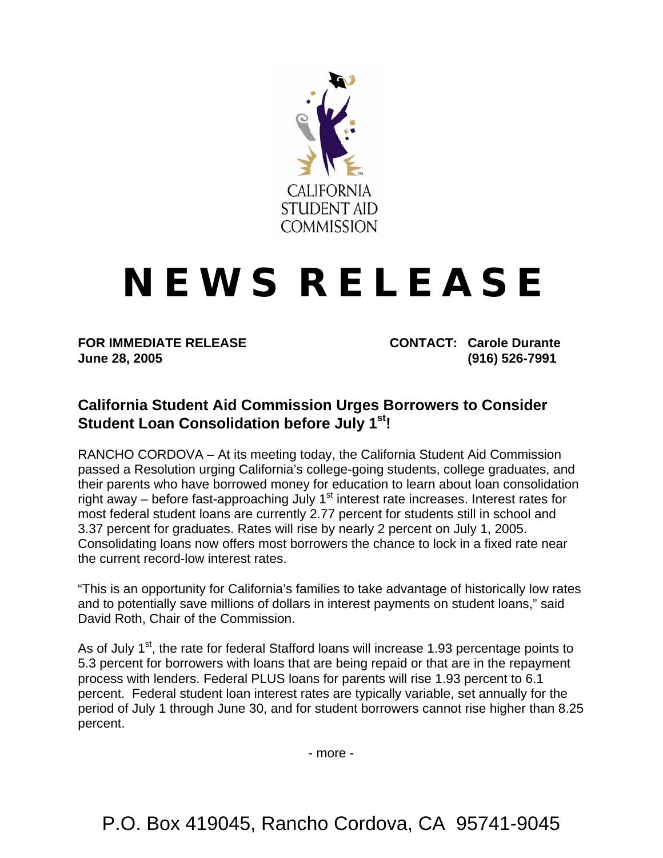

## **N E W S R E L E A S E**

**June 28, 2005 (916) 526-7991** 

**FOR IMMEDIATE RELEASE CONTACT: Carole Durante** 

## **California Student Aid Commission Urges Borrowers to Consider Student Loan Consolidation before July 1st!**

RANCHO CORDOVA – At its meeting today, the California Student Aid Commission passed a Resolution urging California's college-going students, college graduates, and their parents who have borrowed money for education to learn about loan consolidation right away – before fast-approaching July  $1<sup>st</sup>$  interest rate increases. Interest rates for most federal student loans are currently 2.77 percent for students still in school and 3.37 percent for graduates. Rates will rise by nearly 2 percent on July 1, 2005. Consolidating loans now offers most borrowers the chance to lock in a fixed rate near the current record-low interest rates.

"This is an opportunity for California's families to take advantage of historically low rates and to potentially save millions of dollars in interest payments on student loans," said David Roth, Chair of the Commission.

As of July 1<sup>st</sup>, the rate for federal Stafford loans will increase 1.93 percentage points to 5.3 percent for borrowers with loans that are being repaid or that are in the repayment process with lenders. Federal PLUS loans for parents will rise 1.93 percent to 6.1 percent. Federal student loan interest rates are typically variable, set annually for the period of July 1 through June 30, and for student borrowers cannot rise higher than 8.25 percent.

- more -

P.O. Box 419045, Rancho Cordova, CA 95741-9045